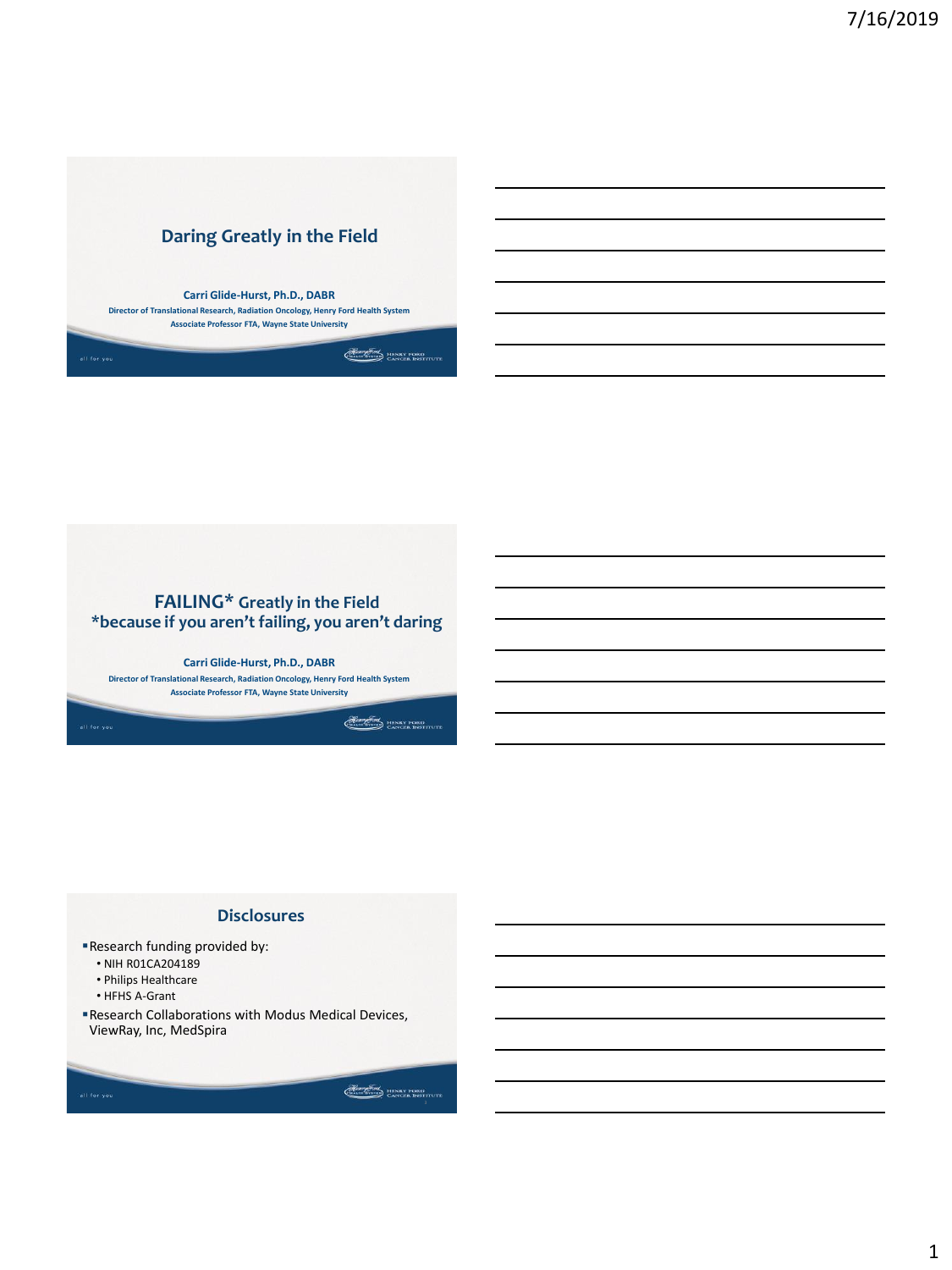



### **Disclosures**

- Research funding provided by:
	- NIH R01CA204189
	- Philips Healthcare
	- HFHS A-Grant
- Research Collaborations with Modus Medical Devices, ViewRay, Inc, MedSpira

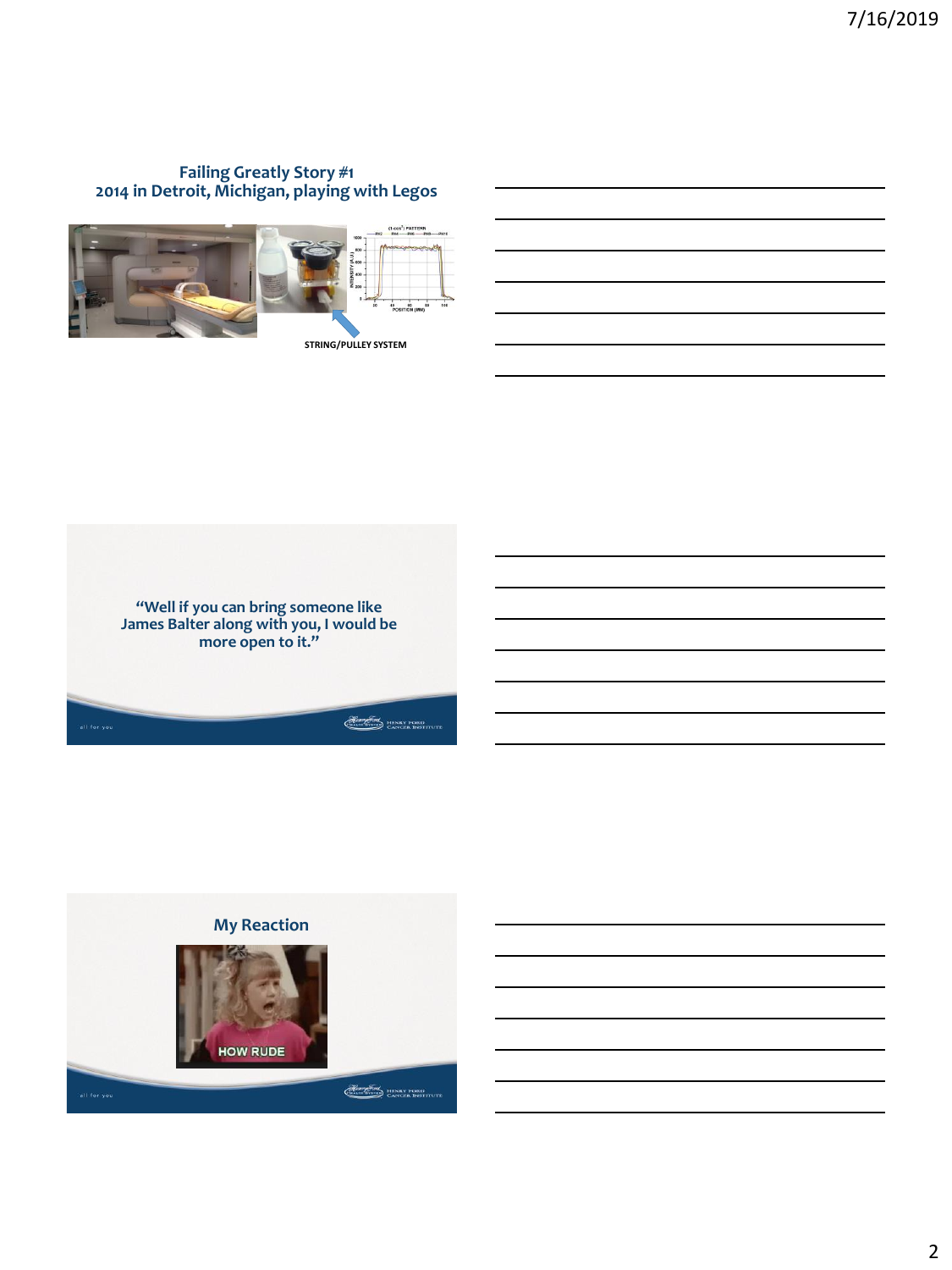## **Failing Greatly Story #1 2014 in Detroit, Michigan, playing with Legos**





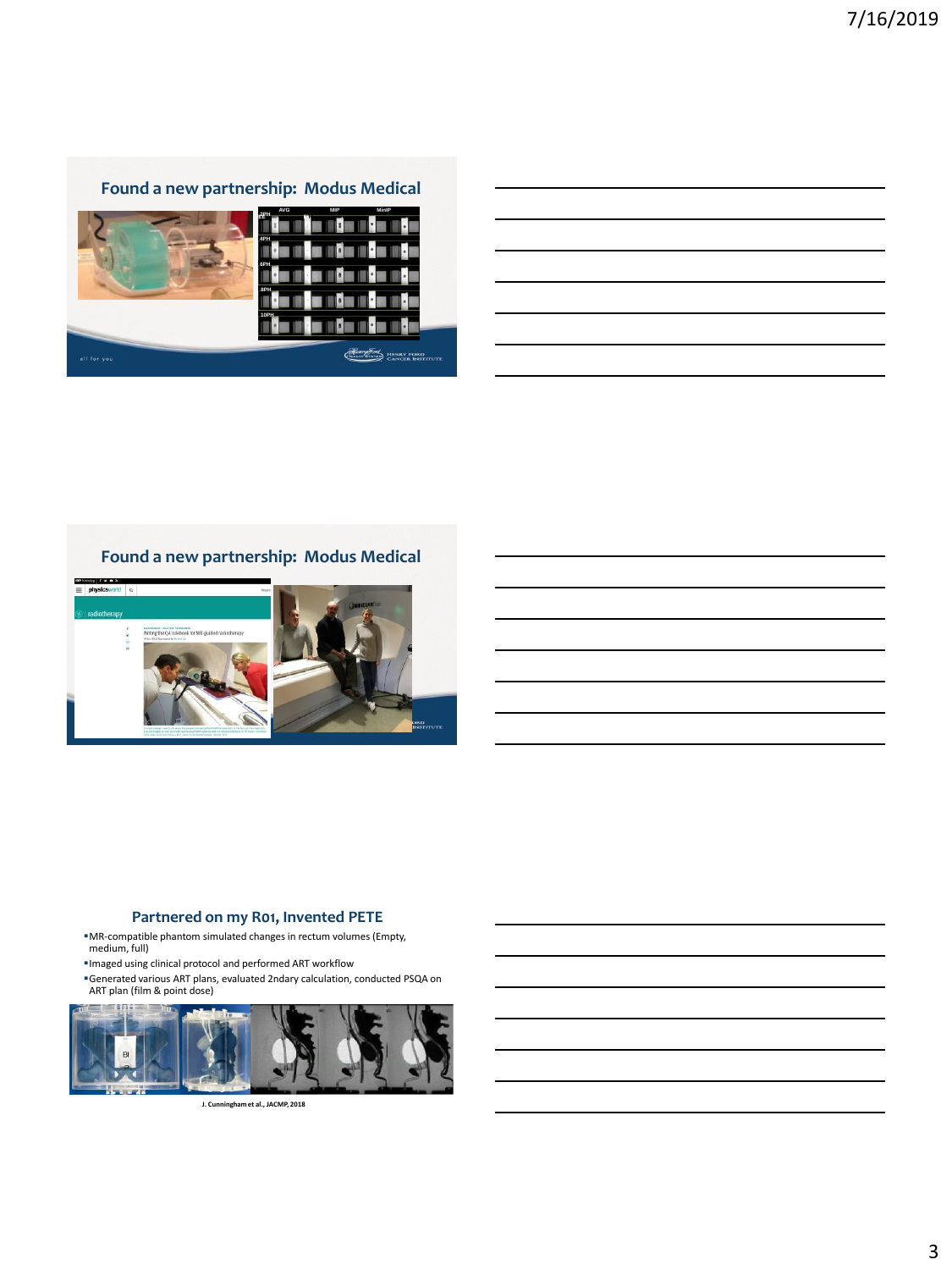## **Found a new partnership: Modus Medical**



## **Found a new partnership: Modus Medical**



#### **Partnered on my R01, Invented PETE**

- MR-compatible phantom simulated changes in rectum volumes (Empty, medium, full)
- Imaged using clinical protocol and performed ART workflow
- Generated various ART plans, evaluated 2ndary calculation, conducted PSQA on ART plan (film & point dose)



**J. Cunningham et al., JACMP, 2018**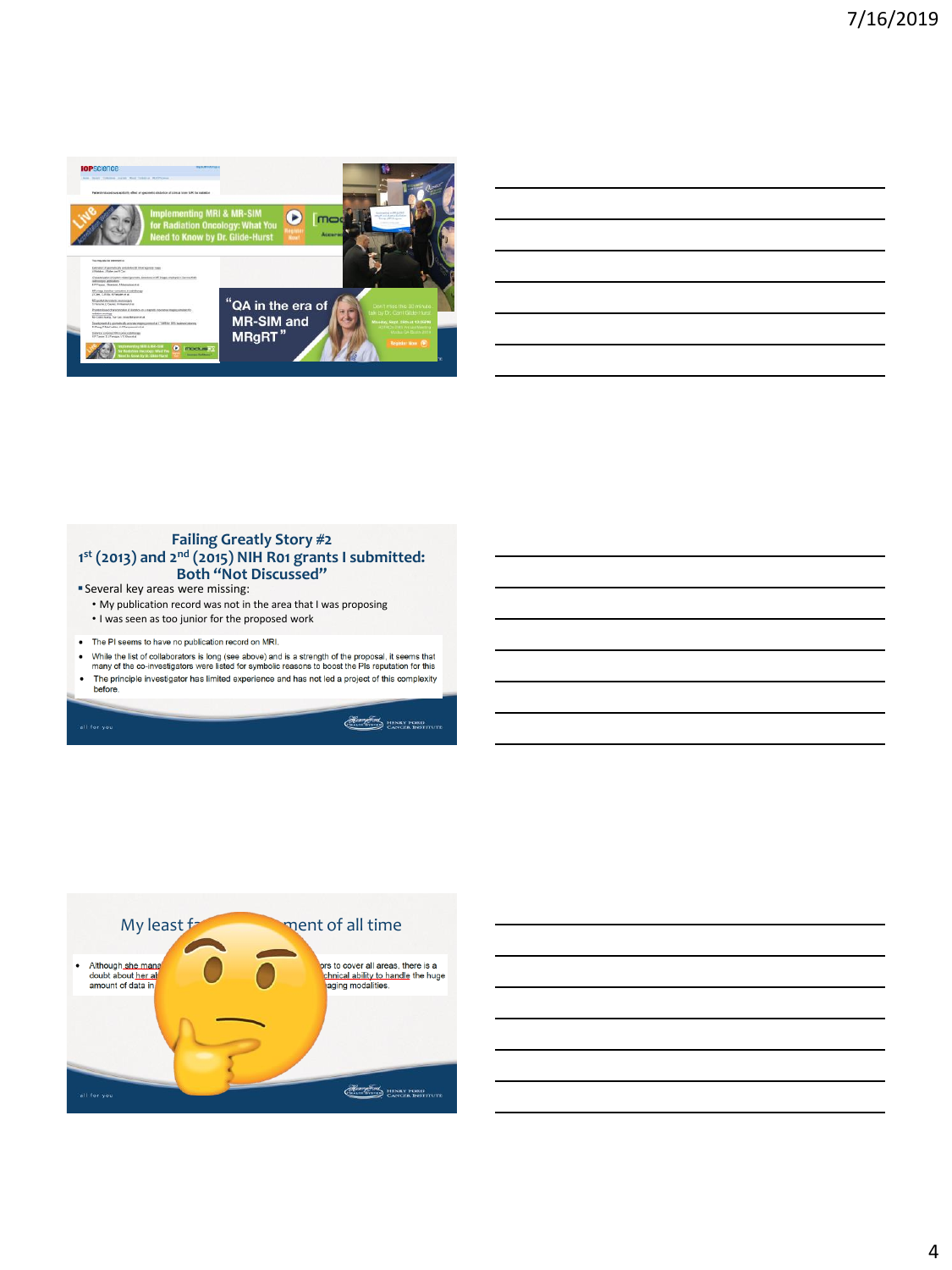

#### **Failing Greatly Story #2 1 st (2013) and 2nd (2015) NIH R01 grants I submitted: Both "Not Discussed"**

Several key areas were missing:

• My publication record was not in the area that I was proposing

• I was seen as too junior for the proposed work

- . The PI seems to have no publication record on MRI.
- . While the list of collaborators is long (see above) and is a strength of the proposal, it seems that many of the co-investigators were listed for symbolic reasons to boost the PIs reputation for this The principle investigator has limited experience and has not led a project of this complexity  $\ddot{\phantom{0}}$
- before.

**Heart STATE HENRY FORD** 



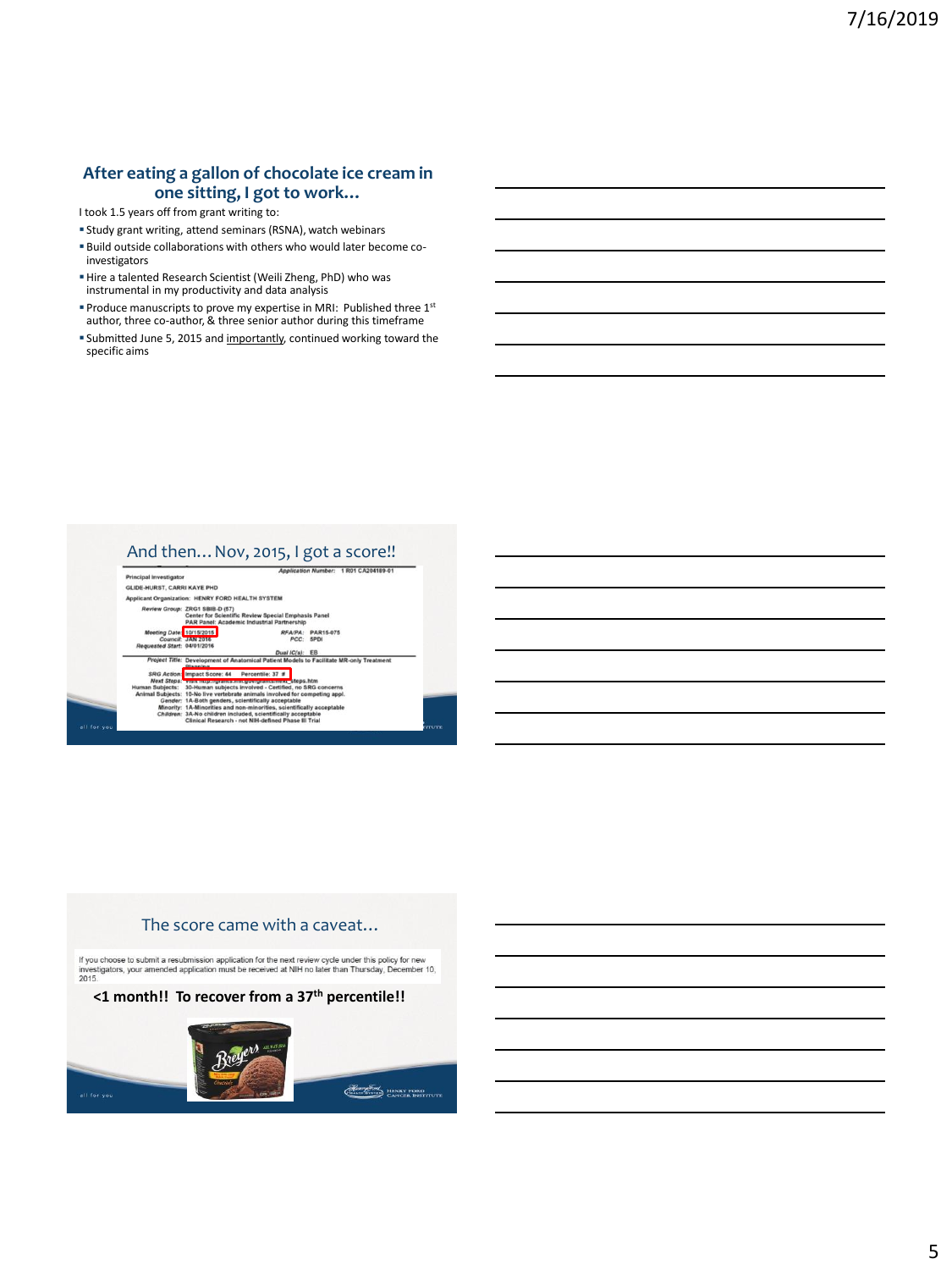### **After eating a gallon of chocolate ice cream in one sitting, I got to work…**

I took 1.5 years off from grant writing to:

- Study grant writing, attend seminars (RSNA), watch webinars
- Build outside collaborations with others who would later become coinvestigators
- Hire a talented Research Scientist (Weili Zheng, PhD) who was instrumental in my productivity and data analysis
- **Produce manuscripts to prove my expertise in MRI: Published three 1st** author, three co-author, & three senior author during this timeframe
- **Submitted June 5, 2015 and importantly, continued working toward the** specific aims

# And then... Nov, 2015, I got a score!!



# The score came with a caveat… If you choose to submit a resubmission application for the next review cycle under this policy for new investigators, your amended application must be received at NIH no later than Thursday, December 10, 2015. **<1 month!! To recover from a 37th percentile!!**